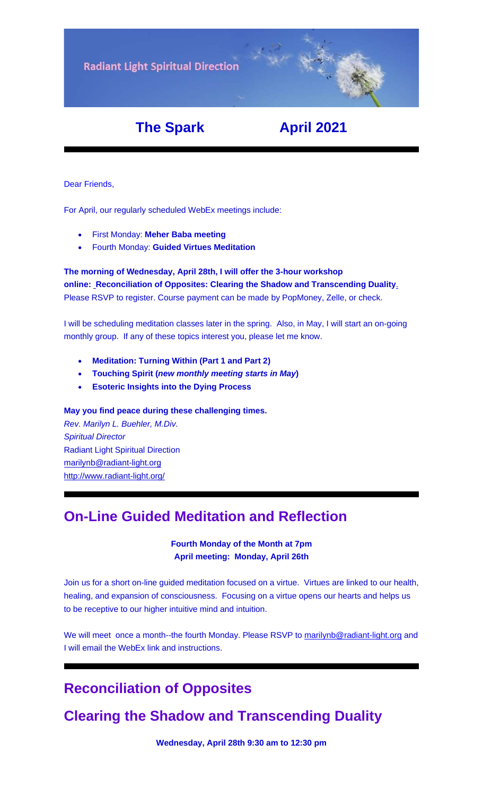**Radiant Light Spiritual Direction** 

# **The Spark April 2021**

Dear Friends,

For April, our regularly scheduled WebEx meetings include:

- First Monday: **[Meher Baba meeting](https://u18544456.ct.sendgrid.net/ls/click?upn=YO6TcuTs2Xz6NlJVKcEQZiklIDFGo-2FRGaP7ZnccBbQBSde-2FWbw41SMatXQUHqXLIA8tW3rPW7fIcg9F9fR0TI13OPF1OR3N8TEGoGDpmb5M-3DMLs__FiQrYGg1YZElR924caalGEP3AHGeF79ulf5jxC9Fbcd8IfoR4p2-2FW0xZvJaX6Y3z75H0Yw3uGmHJTH3azVPJ5HXoQqlNvxrtacG06ak4RKGFXVLG4ywo9U969hRIaoJ2-2FiDdM6oiPM-2B7fSzcEA13Ar4mX5-2Bd7uQH4-2BXOqRTrur7kPpOdgbjZjfj-2Fk6azBOVr-2BogqrXYVlvQYiOhyeUrO05zSDbfRsjS42QBUPsuV6F0mCVHOqm-2BlB6DCvKLdpvY9vvMppEbUV-2B6usyFP2iHhOdhhT-2Bzu40kyKPGX3GvOWYs-3D)**
- Fourth Monday: **[Guided Virtues Meditation](https://u18544456.ct.sendgrid.net/ls/click?upn=YO6TcuTs2Xz6NlJVKcEQZiklIDFGo-2FRGaP7ZnccBbQD-2F5nLWTzJmSJc11SHLkwTWw3mPoSMkIgk89sNojM3mjcl2mDNdB7fk5xqxV4W92SY-3DsWKv_FiQrYGg1YZElR924caalGEP3AHGeF79ulf5jxC9Fbcd8IfoR4p2-2FW0xZvJaX6Y3z75H0Yw3uGmHJTH3azVPJ5HXoQqlNvxrtacG06ak4RKGFXVLG4ywo9U969hRIaoJ2IDH8mW4-2FttVLsege62SxRn3ugo4e8RgemqULei2uCpYL50ABvjIglvQnNk4L0fVKd9TaPa1xxWAiWNmyhOfvO5EnO8myk-2B1uj9DAU3nuO71HwLzUlK0CTR-2FLZ3gUGDcz7Mb9CiRnKVO5TpC2QiGa1hALId-2B8W8F-2B-2FCTZcXU-2Fj9w-3D)**

#### **The morning of Wednesday, April 28th, I will offer the 3-hour workshop online: [Reconciliation](https://u18544456.ct.sendgrid.net/ls/click?upn=YO6TcuTs2Xz6NlJVKcEQZiklIDFGo-2FRGaP7ZnccBbQBGusmZfNmfWP2-2F0bS7gDEvg7s-2FT-2FketP1vrwJqVOk03W8vVkbj2WqZ2HvU-2F4FbrkY-3Dp1jo_FiQrYGg1YZElR924caalGEP3AHGeF79ulf5jxC9Fbcd8IfoR4p2-2FW0xZvJaX6Y3z75H0Yw3uGmHJTH3azVPJ5HXoQqlNvxrtacG06ak4RKGFXVLG4ywo9U969hRIaoJ2u3QTDXKMw7gFF8-2FvJm7DldIrW-2BNxzkFnMqtir0AnISfFjnT-2FlPiYZ78vBX-2BC-2Bw07Hqr2JTYD-2FXpdQHzPQvsadYQr0pkrpivr2cqGTEhjSrHE1gqij8l-2BndezX8Cy9go8x5-2F1flme0yyr-2F4aAWMix8DIdRPk2DVOLfKmGVkruC4k-3D) of Opposites: Clearing the Shadow and Transcending Duality**. Please RSVP to register. Course payment can be made by PopMoney, Zelle, or check.

I will be scheduling meditation classes later in the spring. Also, in May, I will start an on-going monthly group. If any of these topics interest you, please let me know.

- **[Meditation: Turning Within \(Part 1 and Part 2\)](https://u18544456.ct.sendgrid.net/ls/click?upn=YO6TcuTs2Xz6NlJVKcEQZiklIDFGo-2FRGaP7ZnccBbQCHI3OCy1-2FTljnUIZxiRg8HLM4DYB-2FN-2Fq3kXlEC-2F4u5oV164lbmXOFL895hqZhKLR0-3D9_24_FiQrYGg1YZElR924caalGEP3AHGeF79ulf5jxC9Fbcd8IfoR4p2-2FW0xZvJaX6Y3z75H0Yw3uGmHJTH3azVPJ5HXoQqlNvxrtacG06ak4RKGFXVLG4ywo9U969hRIaoJ2hrCnHZKxtc7whFR8Dj7O6xCNvf97DYdu5-2Fn-2BB6GF-2BY4-2Bc8C69WpbiS-2BBLcEFvPtZn-2BIpG-2BxLFQTCDO7cVESLuSmJatmvhZffO4sGzJHCZr0ucZdwTgQwfOYqxRVscqLuleeC0FaeicYpf-2BChitLlSBAk-2Bdltpb-2FpDzThidrku68-3D)**
- **[Touching Spirit](https://u18544456.ct.sendgrid.net/ls/click?upn=YO6TcuTs2Xz6NlJVKcEQZiklIDFGo-2FRGaP7ZnccBbQCCkm6R-2FkYiul2xLhGY71W4E83M-2Bt26oegJ6cG7I8lotA-3D-3DtGjY_FiQrYGg1YZElR924caalGEP3AHGeF79ulf5jxC9Fbcd8IfoR4p2-2FW0xZvJaX6Y3z75H0Yw3uGmHJTH3azVPJ5HXoQqlNvxrtacG06ak4RKGFXVLG4ywo9U969hRIaoJ2izAz9vJ0KKKbqeKdfyg89zOUI5-2BKCZCsNuN1Arf-2FbLP90Z8HJsHmw2WyIq7Q4N6WsDm4st29CvWdHiEsOZZDROvXjX5T8LkbIAD2iYEN7ZfIR1sF1WyikvbW1-2F065E0D6xODIKjNWwGXSnrKnAMKmdOeXjyLkiplonOn0hQrIOY-3D) (***new monthly meeting starts in May***)**
- **[Esoteric Insights into the Dying Process](https://u18544456.ct.sendgrid.net/ls/click?upn=YO6TcuTs2Xz6NlJVKcEQZiklIDFGo-2FRGaP7ZnccBbQAmgx5iYLnK9XdRZcvCyt81CrUlas186DIfxdHfXsRJZYnq2wbDsES7ODpqNntqlfD5qxvPcBVzjalw-2FvU5LeP4pDb-_FiQrYGg1YZElR924caalGEP3AHGeF79ulf5jxC9Fbcd8IfoR4p2-2FW0xZvJaX6Y3z75H0Yw3uGmHJTH3azVPJ5HXoQqlNvxrtacG06ak4RKGFXVLG4ywo9U969hRIaoJ2pAQ3gv08ir-2FpTTkgu01-2BWEb6ySiDWV1z-2FKVT1d5skQsfGvoehVnzUpwW1UqIISBJu1hcaOzypN-2FKa6CcQy3oqugc1O34-2FjcoGPuadXtep3YIivpsvMokux5VUaV-2BsExFnrb9WkkfhDDVhj77pvSODWP-2FIg0D1SCFtboGsEKQXf4-3D)**

#### **May you find peace during these challenging times.**

*Rev. Marilyn L. Buehler, M.Div. Spiritual Director* Radiant Light Spiritual Direction [marilynb@radiant-light.org](mailto:marilynb@radiant-light.org) [http://www.radiant-light.org/](https://u18544456.ct.sendgrid.net/ls/click?upn=R-2Bl7NGDLiuME3v4KUDXT9h2qnOPi-2Bv0NUDPOAvqgwbSGaV-2BAb3Xm4aVOKtH6HhU9m-2FTXOQwSXWi82XNXQXmW0Ybjzw6tS-2BT4DLdUHTzXugFWK15x1FY1bK6oAs60zDHa4mGw_FiQrYGg1YZElR924caalGEP3AHGeF79ulf5jxC9Fbcd8IfoR4p2-2FW0xZvJaX6Y3z75H0Yw3uGmHJTH3azVPJ5HXoQqlNvxrtacG06ak4RKGFXVLG4ywo9U969hRIaoJ2lBvKk77Arey3UBGjS007HUnmsGfqmjBF8b33yh69-2BndnfRK3NjTtdNjL8YOtzQrbqB1amsrK5A3OqxlDGyGaqTpDId5fDzY-2FkI-2B-2BvBC74BT5yIEiqNYZyQCQImjrf4O62rvkgKYsvUVEBnDBNHwZZW8oZdzDxGPKRsv2R1BrtAs-3D)

## **On-Line Guided Meditation and Reflection**

**Fourth Monday of the Month at 7pm April meeting: Monday, April 26th**

Join us for a short on-line guided meditation focused on a virtue. Virtues are linked to our health, healing, and expansion of consciousness. Focusing on a virtue opens our hearts and helps us to be receptive to our higher intuitive mind and intuition.

We will meet once a month--the fourth Monday. Please RSVP to [marilynb@radiant-light.org](mailto:marilynb@radiant-light.org) and I will email the WebEx link and instructions.

# **Reconciliation of Opposites**

# **Clearing the Shadow and Transcending Duality**

**Wednesday, April 28th 9:30 am to 12:30 pm**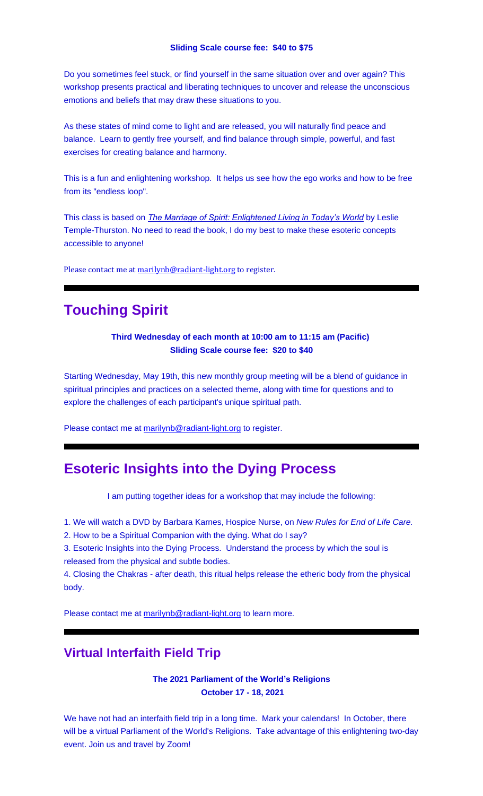Do you sometimes feel stuck, or find yourself in the same situation over and over again? This workshop presents practical and liberating techniques to uncover and release the unconscious emotions and beliefs that may draw these situations to you.

As these states of mind come to light and are released, you will naturally find peace and balance. Learn to gently free yourself, and find balance through simple, powerful, and fast exercises for creating balance and harmony.

This is a fun and enlightening workshop. It helps us see how the ego works and how to be free from its "endless loop".

This class is based on *[The Marriage of Spirit: Enlightened Living in Today's World](https://u18544456.ct.sendgrid.net/ls/click?upn=R-2Bl7NGDLiuME3v4KUDXT9s8V8aHwtcrfP-2FedTAKJSqMCOv2u9MIbDS0f-2BuowiUvYMz7G6VpMvQTnNwvusQvTrmFF2-2FE81LWo6BTzQFwYTlI-3Dlik8_FiQrYGg1YZElR924caalGEP3AHGeF79ulf5jxC9Fbcd8IfoR4p2-2FW0xZvJaX6Y3z75H0Yw3uGmHJTH3azVPJ5HXoQqlNvxrtacG06ak4RKGFXVLG4ywo9U969hRIaoJ28a8nf49iXuRND5ng2cUssSIPB2Gi1lvDsRFa1GOnvfD9XGT5bF9-2FevXrC1rzVgJ3gnL6e0W-2BEmNiLqAY8UFwVOJfyx8sYA3iu4rHY-2F6vvYCBhnqesOdeEjuh6qXE4Voa-2Flcx4YtWoJQZmL7boMEP95FZgsbN1ceKV7EvptV4mYo-3D)* by Leslie Temple-Thurston. No need to read the book, I do my best to make these esoteric concepts accessible to anyone!

Please contact me at [marilynb@radiant-light.org](mailto:marilynb@radiant-light.org) to register.

# **Touching Spirit**

#### **Third Wednesday of each month at 10:00 am to 11:15 am (Pacific) Sliding Scale course fee: \$20 to \$40**

Starting Wednesday, May 19th, this new monthly group meeting will be a blend of guidance in spiritual principles and practices on a selected theme, along with time for questions and to explore the challenges of each participant's unique spiritual path.

Please contact me at [marilynb@radiant-light.org](mailto:marilynb@radiant-light.org) to register.

## **Esoteric Insights into the Dying Process**

I am putting together ideas for a workshop that may include the following:

1. We will watch a DVD by Barbara Karnes, Hospice Nurse, on *New Rules for End of Life Care.*

2. How to be a Spiritual Companion with the dying. What do I say?

3. Esoteric Insights into the Dying Process. Understand the process by which the soul is released from the physical and subtle bodies.

4. Closing the Chakras - after death, this ritual helps release the etheric body from the physical body.

Please contact me at [marilynb@radiant-light.org](mailto:marilynb@radiant-light.org) to learn more.

#### **Virtual Interfaith Field Trip**

**The 2021 Parliament of the World's Religions October 17 - 18, 2021**

We have not had an interfaith field trip in a long time. Mark your calendars! In October, there will be a virtual Parliament of the World's Religions. Take advantage of this enlightening two-day event. Join us and travel by Zoom!